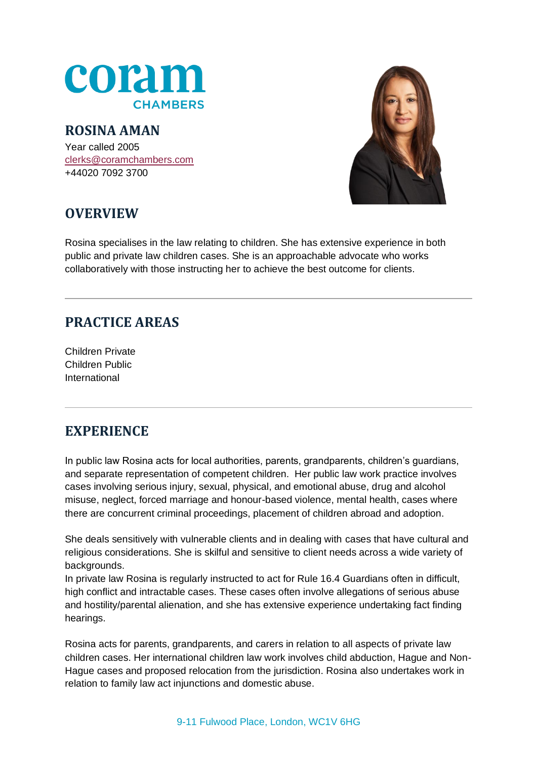

## **ROSINA AMAN**

Year called 2005 [clerks@coramchambers.com](mailto:clerks@coramchambers.com) +44020 7092 3700



# **OVERVIEW**

Rosina specialises in the law relating to children. She has extensive experience in both public and private law children cases. She is an approachable advocate who works collaboratively with those instructing her to achieve the best outcome for clients.

# **PRACTICE AREAS**

Children Private Children Public International

# **EXPERIENCE**

In public law Rosina acts for local authorities, parents, grandparents, children's guardians, and separate representation of competent children. Her public law work practice involves cases involving serious injury, sexual, physical, and emotional abuse, drug and alcohol misuse, neglect, forced marriage and honour-based violence, mental health, cases where there are concurrent criminal proceedings, placement of children abroad and adoption.

She deals sensitively with vulnerable clients and in dealing with cases that have cultural and religious considerations. She is skilful and sensitive to client needs across a wide variety of backgrounds.

In private law Rosina is regularly instructed to act for Rule 16.4 Guardians often in difficult, high conflict and intractable cases. These cases often involve allegations of serious abuse and hostility/parental alienation, and she has extensive experience undertaking fact finding hearings.

Rosina acts for parents, grandparents, and carers in relation to all aspects of private law children cases. Her international children law work involves child abduction, Hague and Non-Hague cases and proposed relocation from the jurisdiction. Rosina also undertakes work in relation to family law act injunctions and domestic abuse.